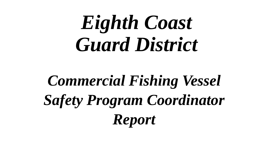# *Eighth Coast Guard District*

## *Commercial Fishing Vessel Safety Program Coordinator Report*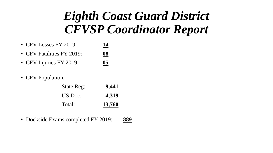- CFV Losses FY-2019: **14**
- CFV Fatalities FY-2019: **08**
- CFV Injuries FY-2019: **05**
- CFV Population:

| <b>State Reg:</b> | 9,441  |
|-------------------|--------|
| US Doc:           | 4,319  |
| Total:            | 13,760 |

• Dockside Exams completed FY-2019: **889**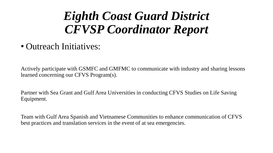• Outreach Initiatives:

Actively participate with GSMFC and GMFMC to communicate with industry and sharing lessons learned concerning our CFVS Program(s).

Partner with Sea Grant and Gulf Area Universities in conducting CFVS Studies on Life Saving Equipment.

Team with Gulf Area Spanish and Vietnamese Communities to enhance communication of CFVS best practices and translation services in the event of at sea emergencies.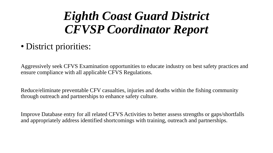• District priorities:

Aggressively seek CFVS Examination opportunities to educate industry on best safety practices and ensure compliance with all applicable CFVS Regulations.

Reduce/eliminate preventable CFV casualties, injuries and deaths within the fishing community through outreach and partnerships to enhance safety culture.

Improve Database entry for all related CFVS Activities to better assess strengths or gaps/shortfalls and appropriately address identified shortcomings with training, outreach and partnerships.